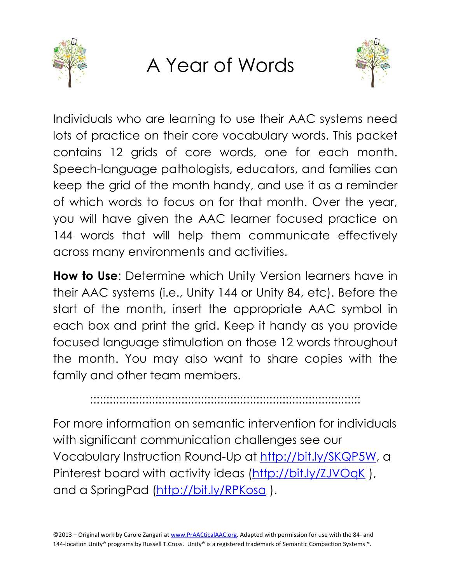

## A Year of Words



Individuals who are learning to use their AAC systems need lots of practice on their core vocabulary words. This packet contains 12 grids of core words, one for each month. Speech-language pathologists, educators, and families can keep the grid of the month handy, and use it as a reminder of which words to focus on for that month. Over the year, you will have given the AAC learner focused practice on 144 words that will help them communicate effectively across many environments and activities.

**How to Use**: Determine which Unity Version learners have in their AAC systems (i.e., Unity 144 or Unity 84, etc). Before the start of the month, insert the appropriate AAC symbol in each box and print the grid. Keep it handy as you provide focused language stimulation on those 12 words throughout the month. You may also want to share copies with the family and other team members.

:::::::::::::::::::::::::::::::::::::::::::::::::::::::::::::::::::::::::::::::::::

For more information on semantic intervention for individuals with significant communication challenges see our Vocabulary Instruction Round-Up at [http://bit.ly/SKQP5W,](http://bit.ly/SKQP5W) a Pinterest board with activity ideas (http://bit.ly/ZJVOqK), and a SpringPad [\(http://bit.ly/RPKosa](http://bit.ly/RPKosa) ).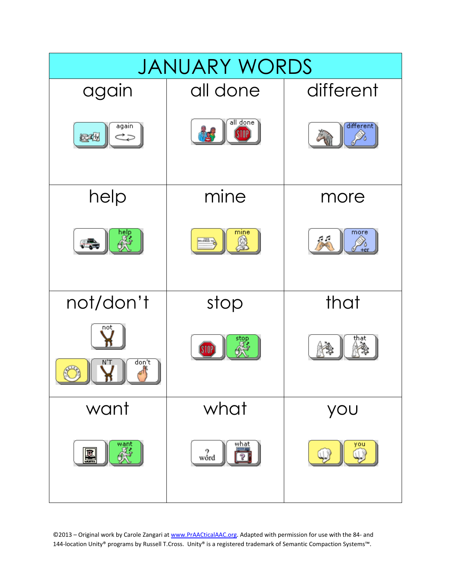

©2013 – Original work by Carole Zangari at www.PrAACticalAAC.org. Adapted with permission for use with the 84- and 144-location Unity® programs by Russell T.Cross. Unity® is a registered trademark of Semantic Compaction Systems™.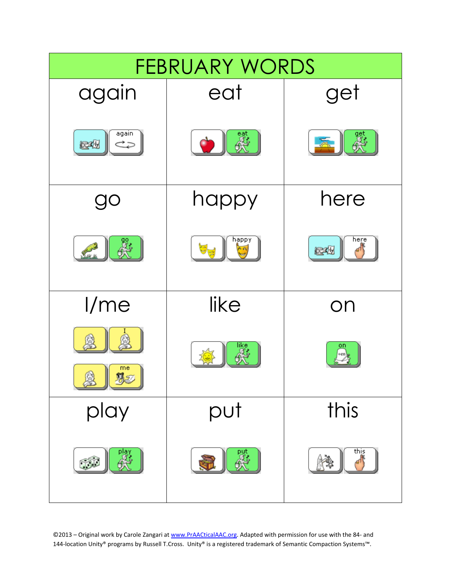

©2013 – Original work by Carole Zangari at www.PrAACticalAAC.org. Adapted with permission for use with the 84- and 144-location Unity® programs by Russell T.Cross. Unity® is a registered trademark of Semantic Compaction Systems™.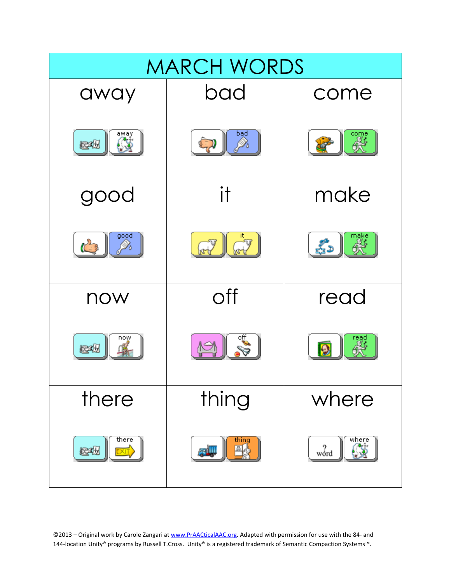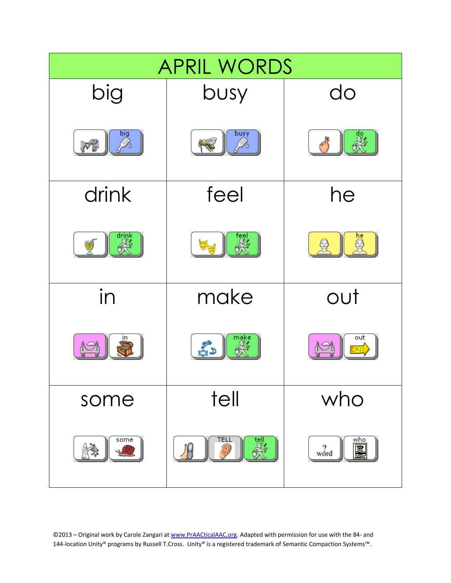| <b>APRIL WORDS</b>     |                          |                           |
|------------------------|--------------------------|---------------------------|
| big                    | busy                     | do                        |
| big<br>Do<br><b>PR</b> | buşy                     | 욣.                        |
| drink                  | feel                     | he                        |
| drink                  |                          | he                        |
| in                     | make                     | out                       |
|                        | make                     | out                       |
| some                   | tell                     | who                       |
| some                   | <b>TEL</b><br>tell<br>As | who<br>$\frac{2}{3}$<br>嚔 |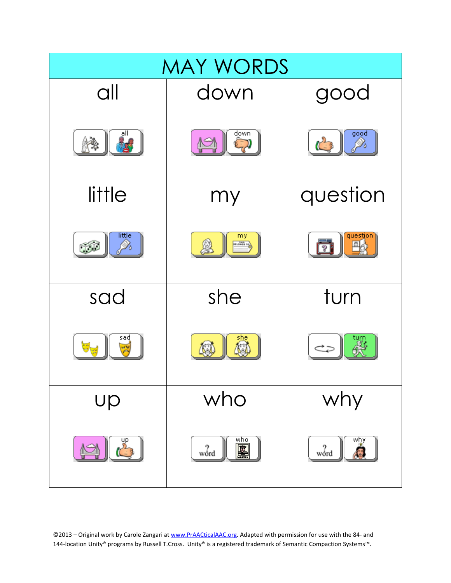

©2013 – Original work by Carole Zangari at www.PrAACticalAAC.org. Adapted with permission for use with the 84- and 144-location Unity® programs by Russell T.Cross. Unity® is a registered trademark of Semantic Compaction Systems™.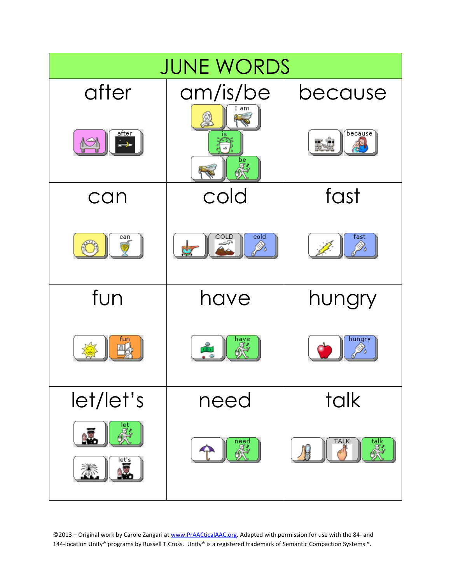

©2013 – Original work by Carole Zangari at www.PrAACticalAAC.org. Adapted with permission for use with the 84- and 144-location Unity® programs by Russell T.Cross. Unity® is a registered trademark of Semantic Compaction Systems™.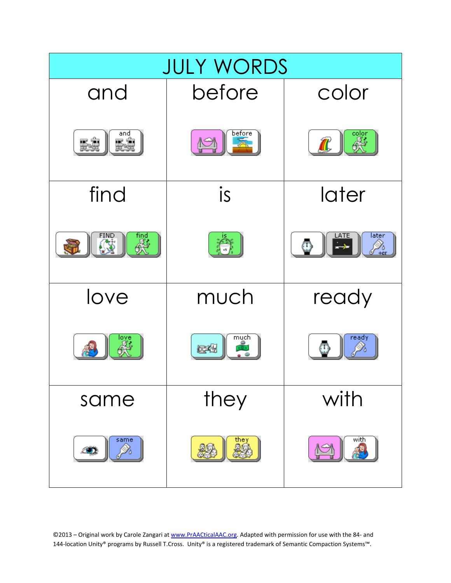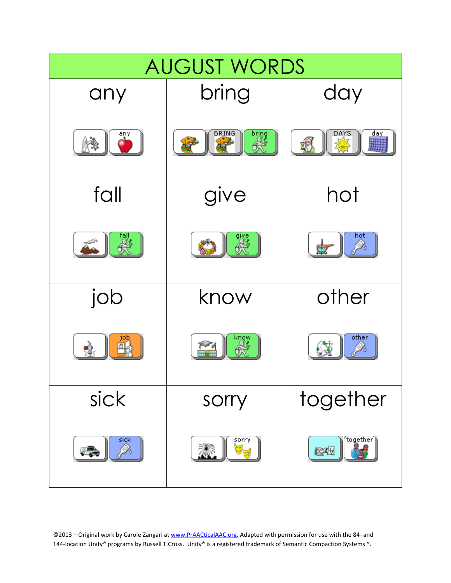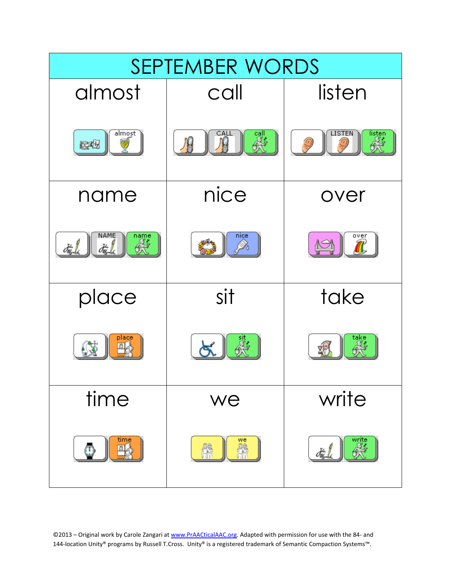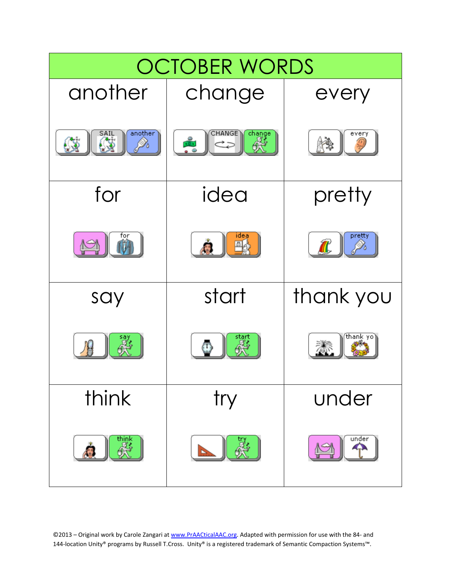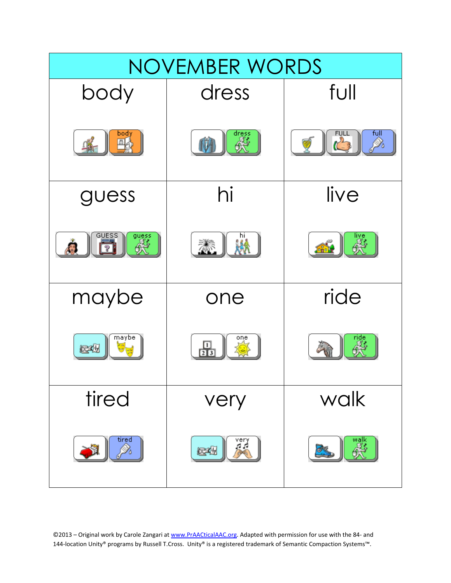